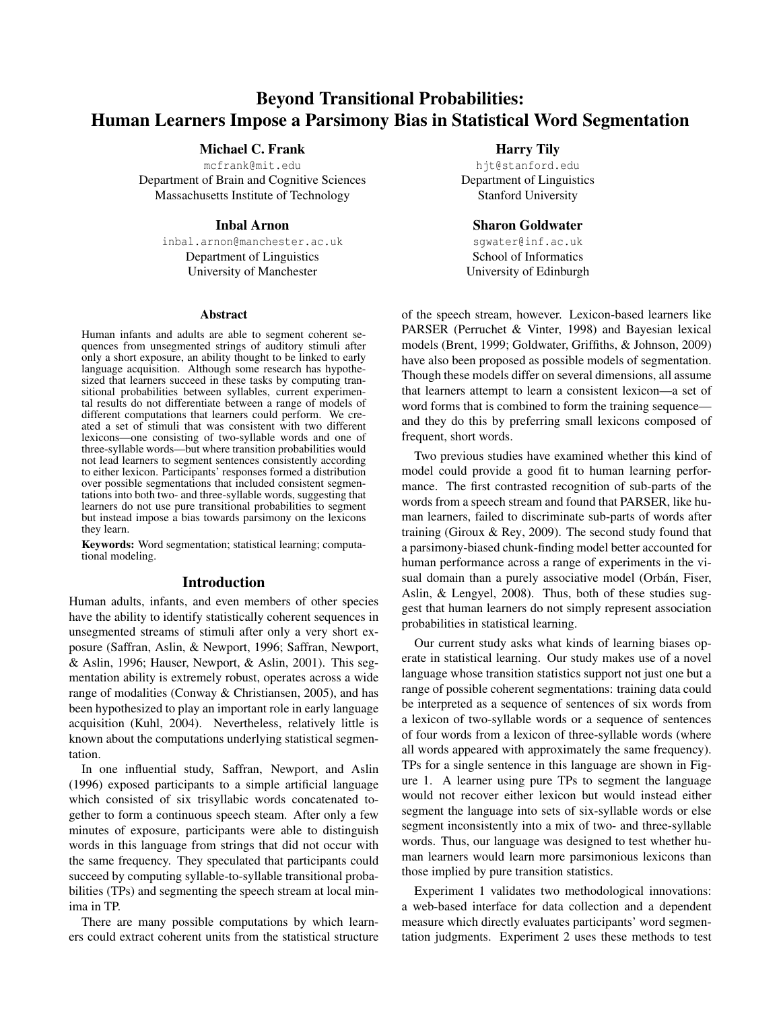# Beyond Transitional Probabilities: Human Learners Impose a Parsimony Bias in Statistical Word Segmentation

# Michael C. Frank

mcfrank@mit.edu Department of Brain and Cognitive Sciences Massachusetts Institute of Technology

# Inbal Arnon

inbal.arnon@manchester.ac.uk Department of Linguistics University of Manchester

#### Abstract

Human infants and adults are able to segment coherent sequences from unsegmented strings of auditory stimuli after only a short exposure, an ability thought to be linked to early language acquisition. Although some research has hypothesized that learners succeed in these tasks by computing transitional probabilities between syllables, current experimental results do not differentiate between a range of models of different computations that learners could perform. We created a set of stimuli that was consistent with two different lexicons—one consisting of two-syllable words and one of three-syllable words—but where transition probabilities would not lead learners to segment sentences consistently according to either lexicon. Participants' responses formed a distribution over possible segmentations that included consistent segmentations into both two- and three-syllable words, suggesting that learners do not use pure transitional probabilities to segment but instead impose a bias towards parsimony on the lexicons they learn.

Keywords: Word segmentation; statistical learning; computational modeling.

## Introduction

Human adults, infants, and even members of other species have the ability to identify statistically coherent sequences in unsegmented streams of stimuli after only a very short exposure (Saffran, Aslin, & Newport, 1996; Saffran, Newport, & Aslin, 1996; Hauser, Newport, & Aslin, 2001). This segmentation ability is extremely robust, operates across a wide range of modalities (Conway & Christiansen, 2005), and has been hypothesized to play an important role in early language acquisition (Kuhl, 2004). Nevertheless, relatively little is known about the computations underlying statistical segmentation.

In one influential study, Saffran, Newport, and Aslin (1996) exposed participants to a simple artificial language which consisted of six trisyllabic words concatenated together to form a continuous speech steam. After only a few minutes of exposure, participants were able to distinguish words in this language from strings that did not occur with the same frequency. They speculated that participants could succeed by computing syllable-to-syllable transitional probabilities (TPs) and segmenting the speech stream at local minima in TP.

There are many possible computations by which learners could extract coherent units from the statistical structure

# Harry Tily

hjt@stanford.edu Department of Linguistics Stanford University

#### Sharon Goldwater

sgwater@inf.ac.uk School of Informatics University of Edinburgh

of the speech stream, however. Lexicon-based learners like PARSER (Perruchet & Vinter, 1998) and Bayesian lexical models (Brent, 1999; Goldwater, Griffiths, & Johnson, 2009) have also been proposed as possible models of segmentation. Though these models differ on several dimensions, all assume that learners attempt to learn a consistent lexicon—a set of word forms that is combined to form the training sequence and they do this by preferring small lexicons composed of frequent, short words.

Two previous studies have examined whether this kind of model could provide a good fit to human learning performance. The first contrasted recognition of sub-parts of the words from a speech stream and found that PARSER, like human learners, failed to discriminate sub-parts of words after training (Giroux & Rey, 2009). The second study found that a parsimony-biased chunk-finding model better accounted for human performance across a range of experiments in the visual domain than a purely associative model (Orbán, Fiser, Aslin, & Lengyel, 2008). Thus, both of these studies suggest that human learners do not simply represent association probabilities in statistical learning.

Our current study asks what kinds of learning biases operate in statistical learning. Our study makes use of a novel language whose transition statistics support not just one but a range of possible coherent segmentations: training data could be interpreted as a sequence of sentences of six words from a lexicon of two-syllable words or a sequence of sentences of four words from a lexicon of three-syllable words (where all words appeared with approximately the same frequency). TPs for a single sentence in this language are shown in Figure 1. A learner using pure TPs to segment the language would not recover either lexicon but would instead either segment the language into sets of six-syllable words or else segment inconsistently into a mix of two- and three-syllable words. Thus, our language was designed to test whether human learners would learn more parsimonious lexicons than those implied by pure transition statistics.

Experiment 1 validates two methodological innovations: a web-based interface for data collection and a dependent measure which directly evaluates participants' word segmentation judgments. Experiment 2 uses these methods to test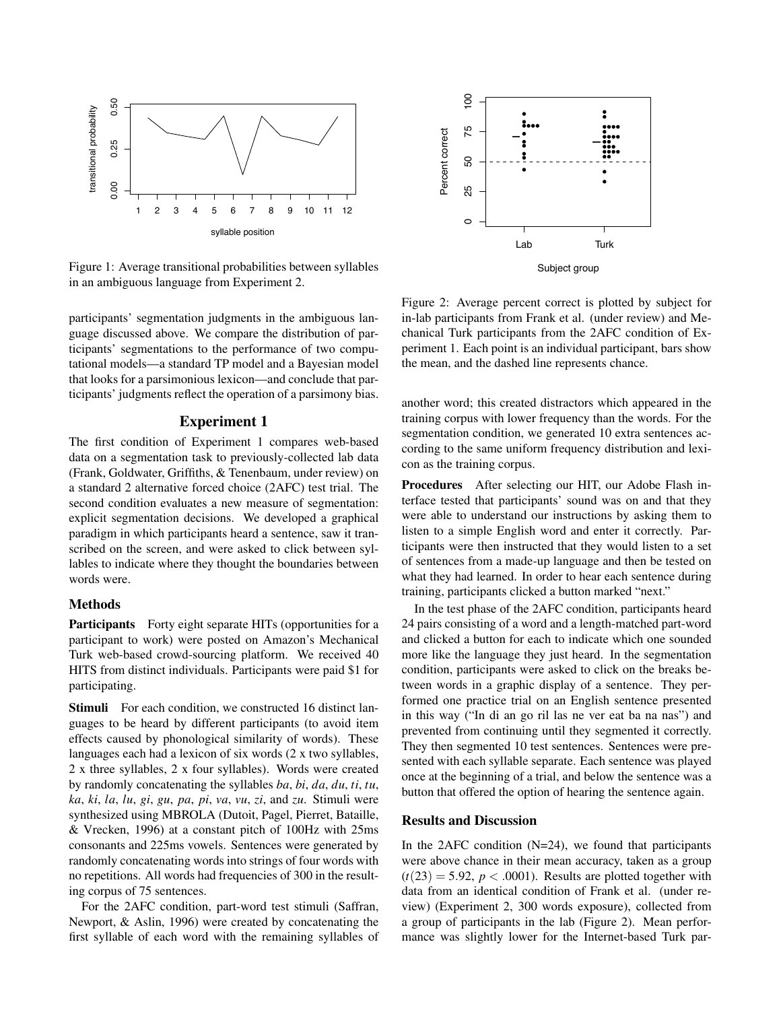

Figure 1: Average transitional probabilities between syllables in an ambiguous language from Experiment 2.

participants' segmentation judgments in the ambiguous language discussed above. We compare the distribution of participants' segmentations to the performance of two computational models—a standard TP model and a Bayesian model that looks for a parsimonious lexicon—and conclude that participants' judgments reflect the operation of a parsimony bias.

# Experiment 1

The first condition of Experiment 1 compares web-based data on a segmentation task to previously-collected lab data (Frank, Goldwater, Griffiths, & Tenenbaum, under review) on a standard 2 alternative forced choice (2AFC) test trial. The second condition evaluates a new measure of segmentation: explicit segmentation decisions. We developed a graphical paradigm in which participants heard a sentence, saw it transcribed on the screen, and were asked to click between syllables to indicate where they thought the boundaries between words were.

# Methods

Participants Forty eight separate HITs (opportunities for a participant to work) were posted on Amazon's Mechanical Turk web-based crowd-sourcing platform. We received 40 HITS from distinct individuals. Participants were paid \$1 for participating.

Stimuli For each condition, we constructed 16 distinct languages to be heard by different participants (to avoid item effects caused by phonological similarity of words). These languages each had a lexicon of six words (2 x two syllables, 2 x three syllables, 2 x four syllables). Words were created by randomly concatenating the syllables *ba*, *bi*, *da*, *du*, *ti*, *tu*, *ka*, *ki*, *la*, *lu*, *gi*, *gu*, *pa*, *pi*, *va*, *vu*, *zi*, and *zu*. Stimuli were synthesized using MBROLA (Dutoit, Pagel, Pierret, Bataille, & Vrecken, 1996) at a constant pitch of 100Hz with 25ms consonants and 225ms vowels. Sentences were generated by randomly concatenating words into strings of four words with no repetitions. All words had frequencies of 300 in the resulting corpus of 75 sentences. Figure 1: Average transitional probabilities between syllables<br>
figure 2: Average percent correct is position and the remaining transitional transitional figures are the distribution of par-<br>
random inclusions in the ambi

For the 2AFC condition, part-word test stimuli (Saffran, Newport, & Aslin, 1996) were created by concatenating the



Figure 2: Average percent correct is plotted by subject for in-lab participants from Frank et al. (under review) and Mechanical Turk participants from the 2AFC condition of Experiment 1. Each point is an individual participant, bars show the mean, and the dashed line represents chance.

another word; this created distractors which appeared in the training corpus with lower frequency than the words. For the segmentation condition, we generated 10 extra sentences according to the same uniform frequency distribution and lexicon as the training corpus.

Procedures After selecting our HIT, our Adobe Flash interface tested that participants' sound was on and that they were able to understand our instructions by asking them to listen to a simple English word and enter it correctly. Participants were then instructed that they would listen to a set of sentences from a made-up language and then be tested on what they had learned. In order to hear each sentence during training, participants clicked a button marked "next."

In the test phase of the 2AFC condition, participants heard 24 pairs consisting of a word and a length-matched part-word and clicked a button for each to indicate which one sounded more like the language they just heard. In the segmentation condition, participants were asked to click on the breaks between words in a graphic display of a sentence. They performed one practice trial on an English sentence presented in this way ("In di an go ril las ne ver eat ba na nas") and prevented from continuing until they segmented it correctly. They then segmented 10 test sentences. Sentences were presented with each syllable separate. Each sentence was played once at the beginning of a trial, and below the sentence was a button that offered the option of hearing the sentence again.

#### Results and Discussion

In the 2AFC condition  $(N=24)$ , we found that participants were above chance in their mean accuracy, taken as a group  $(t(23) = 5.92, p < .0001)$ . Results are plotted together with data from an identical condition of Frank et al. (under review) (Experiment 2, 300 words exposure), collected from a group of participants in the lab (Figure 2). Mean performance was slightly lower for the Internet-based Turk par-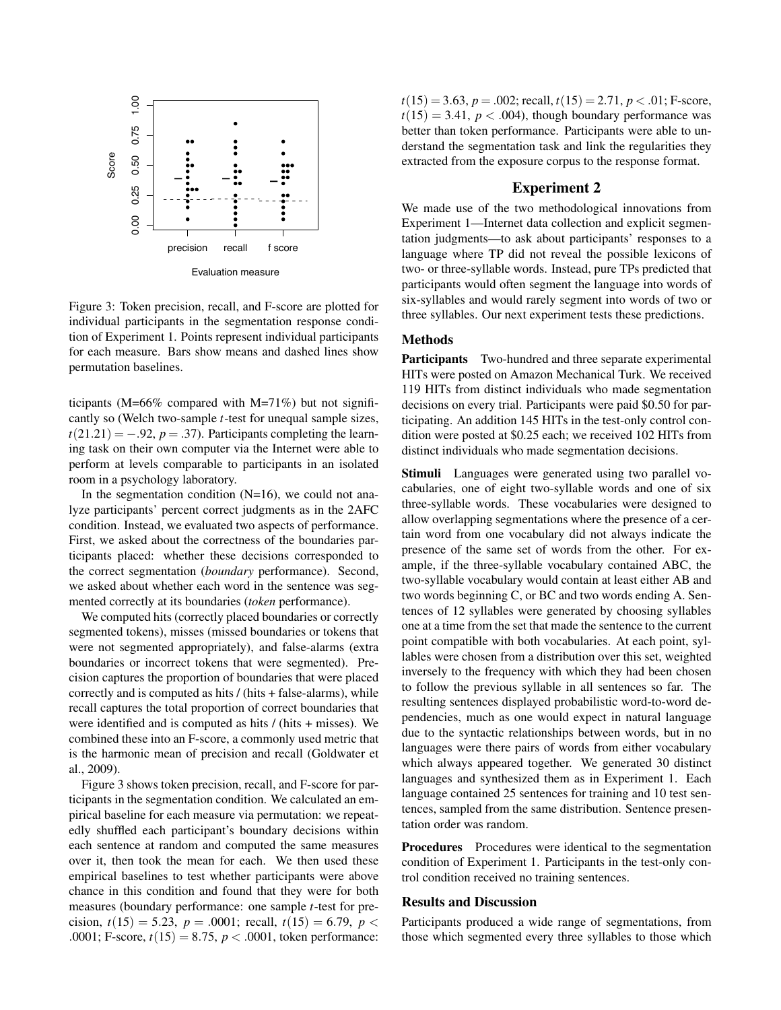

Figure 3: Token precision, recall, and F-score are plotted for individual participants in the segmentation response condition of Experiment 1. Points represent individual participants for each measure. Bars show means and dashed lines show permutation baselines.

ticipants (M=66% compared with M=71%) but not significantly so (Welch two-sample *t*-test for unequal sample sizes,  $t(21.21) = -.92$ ,  $p = .37$ ). Participants completing the learning task on their own computer via the Internet were able to perform at levels comparable to participants in an isolated room in a psychology laboratory.

In the segmentation condition  $(N=16)$ , we could not analyze participants' percent correct judgments as in the 2AFC condition. Instead, we evaluated two aspects of performance. First, we asked about the correctness of the boundaries participants placed: whether these decisions corresponded to the correct segmentation (*boundary* performance). Second, we asked about whether each word in the sentence was segmented correctly at its boundaries (*token* performance).

We computed hits (correctly placed boundaries or correctly segmented tokens), misses (missed boundaries or tokens that were not segmented appropriately), and false-alarms (extra boundaries or incorrect tokens that were segmented). Precision captures the proportion of boundaries that were placed correctly and is computed as hits / (hits + false-alarms), while recall captures the total proportion of correct boundaries that were identified and is computed as hits / (hits + misses). We combined these into an F-score, a commonly used metric that is the harmonic mean of precision and recall (Goldwater et al., 2009).

Figure 3 shows token precision, recall, and F-score for participants in the segmentation condition. We calculated an empirical baseline for each measure via permutation: we repeatedly shuffled each participant's boundary decisions within each sentence at random and computed the same measures over it, then took the mean for each. We then used these empirical baselines to test whether participants were above chance in this condition and found that they were for both measures (boundary performance: one sample *t*-test for precision,  $t(15) = 5.23$ ,  $p = .0001$ ; recall,  $t(15) = 6.79$ ,  $p <$ .0001; F-score,  $t(15) = 8.75$ ,  $p < .0001$ , token performance:  $t(15) = 3.63$ ,  $p = .002$ ; recall,  $t(15) = 2.71$ ,  $p < .01$ ; F-score,  $t(15) = 3.41$ ,  $p < .004$ ), though boundary performance was better than token performance. Participants were able to understand the segmentation task and link the regularities they extracted from the exposure corpus to the response format.

# Experiment 2

We made use of the two methodological innovations from Experiment 1—Internet data collection and explicit segmentation judgments—to ask about participants' responses to a language where TP did not reveal the possible lexicons of two- or three-syllable words. Instead, pure TPs predicted that participants would often segment the language into words of six-syllables and would rarely segment into words of two or three syllables. Our next experiment tests these predictions.

# Methods

Participants Two-hundred and three separate experimental HITs were posted on Amazon Mechanical Turk. We received 119 HITs from distinct individuals who made segmentation decisions on every trial. Participants were paid \$0.50 for participating. An addition 145 HITs in the test-only control condition were posted at \$0.25 each; we received 102 HITs from distinct individuals who made segmentation decisions.

Stimuli Languages were generated using two parallel vocabularies, one of eight two-syllable words and one of six three-syllable words. These vocabularies were designed to allow overlapping segmentations where the presence of a certain word from one vocabulary did not always indicate the presence of the same set of words from the other. For example, if the three-syllable vocabulary contained ABC, the two-syllable vocabulary would contain at least either AB and two words beginning C, or BC and two words ending A. Sentences of 12 syllables were generated by choosing syllables one at a time from the set that made the sentence to the current point compatible with both vocabularies. At each point, syllables were chosen from a distribution over this set, weighted inversely to the frequency with which they had been chosen to follow the previous syllable in all sentences so far. The resulting sentences displayed probabilistic word-to-word dependencies, much as one would expect in natural language due to the syntactic relationships between words, but in no languages were there pairs of words from either vocabulary which always appeared together. We generated 30 distinct languages and synthesized them as in Experiment 1. Each language contained 25 sentences for training and 10 test sentences, sampled from the same distribution. Sentence presentation order was random.

Procedures Procedures were identical to the segmentation condition of Experiment 1. Participants in the test-only control condition received no training sentences.

## Results and Discussion

Participants produced a wide range of segmentations, from those which segmented every three syllables to those which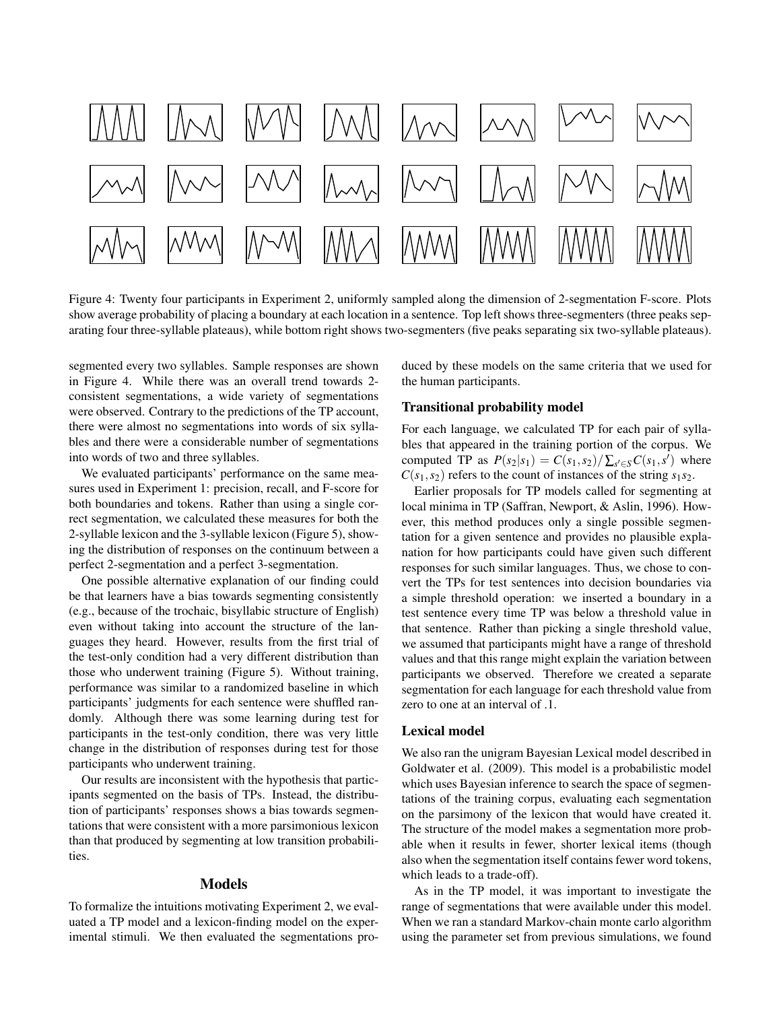

Figure 4: Twenty four participants in Experiment 2, uniformly sampled along the dimension of 2-segmentation F-score. Plots show average probability of placing a boundary at each location in a sentence. Top left shows three-segmenters (three peaks separating four three-syllable plateaus), while bottom right shows two-segmenters (five peaks separating six two-syllable plateaus).

segmented every two syllables. Sample responses are shown in Figure 4. While there was an overall trend towards 2 consistent segmentations, a wide variety of segmentations were observed. Contrary to the predictions of the TP account, there were almost no segmentations into words of six syllables and there were a considerable number of segmentations into words of two and three syllables.

We evaluated participants' performance on the same measures used in Experiment 1: precision, recall, and F-score for both boundaries and tokens. Rather than using a single correct segmentation, we calculated these measures for both the 2-syllable lexicon and the 3-syllable lexicon (Figure 5), showing the distribution of responses on the continuum between a perfect 2-segmentation and a perfect 3-segmentation.

One possible alternative explanation of our finding could be that learners have a bias towards segmenting consistently (e.g., because of the trochaic, bisyllabic structure of English) even without taking into account the structure of the languages they heard. However, results from the first trial of the test-only condition had a very different distribution than those who underwent training (Figure 5). Without training, performance was similar to a randomized baseline in which participants' judgments for each sentence were shuffled randomly. Although there was some learning during test for participants in the test-only condition, there was very little change in the distribution of responses during test for those participants who underwent training.

Our results are inconsistent with the hypothesis that participants segmented on the basis of TPs. Instead, the distribution of participants' responses shows a bias towards segmentations that were consistent with a more parsimonious lexicon than that produced by segmenting at low transition probabilities.

#### Models

To formalize the intuitions motivating Experiment 2, we evaluated a TP model and a lexicon-finding model on the experimental stimuli. We then evaluated the segmentations produced by these models on the same criteria that we used for the human participants.

## Transitional probability model

For each language, we calculated TP for each pair of syllables that appeared in the training portion of the corpus. We computed TP as  $P(s_2|s_1) = C(s_1, s_2) / \sum_{s' \in S} C(s_1, s')$  where  $C(s_1, s_2)$  refers to the count of instances of the string  $s_1 s_2$ .

Earlier proposals for TP models called for segmenting at local minima in TP (Saffran, Newport, & Aslin, 1996). However, this method produces only a single possible segmentation for a given sentence and provides no plausible explanation for how participants could have given such different responses for such similar languages. Thus, we chose to convert the TPs for test sentences into decision boundaries via a simple threshold operation: we inserted a boundary in a test sentence every time TP was below a threshold value in that sentence. Rather than picking a single threshold value, we assumed that participants might have a range of threshold values and that this range might explain the variation between participants we observed. Therefore we created a separate segmentation for each language for each threshold value from zero to one at an interval of .1.

#### Lexical model

We also ran the unigram Bayesian Lexical model described in Goldwater et al. (2009). This model is a probabilistic model which uses Bayesian inference to search the space of segmentations of the training corpus, evaluating each segmentation on the parsimony of the lexicon that would have created it. The structure of the model makes a segmentation more probable when it results in fewer, shorter lexical items (though also when the segmentation itself contains fewer word tokens, which leads to a trade-off).

As in the TP model, it was important to investigate the range of segmentations that were available under this model. When we ran a standard Markov-chain monte carlo algorithm using the parameter set from previous simulations, we found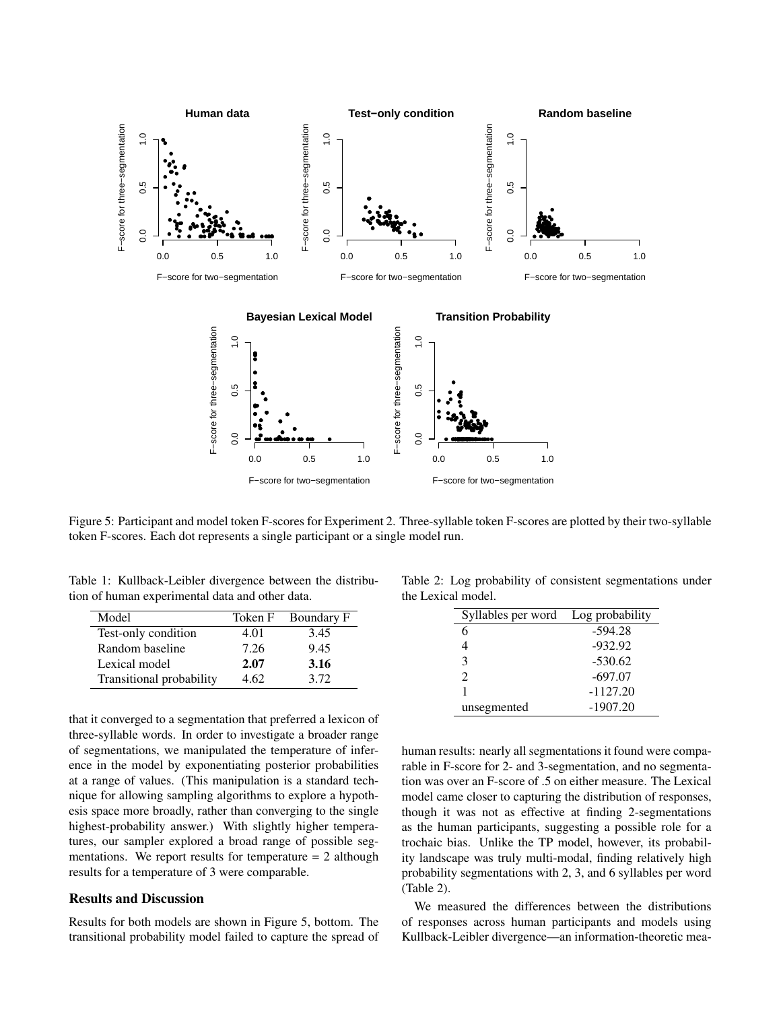

Figure 5: Participant and model token F-scores for Experiment 2. Three-syllable token F-scores are plotted by their two-syllable token F-scores. Each dot represents a single participant or a single model run.

Table 1: Kullback-Leibler divergence between the distribution of human experimental data and other data.

| Model                    | Token F | Boundary F |
|--------------------------|---------|------------|
| Test-only condition      | 4.01    | 3.45       |
| Random baseline          | 7.26    | 9.45       |
| Lexical model            | 2.07    | 3.16       |
| Transitional probability | 4.62    | 3.72       |

that it converged to a segmentation that preferred a lexicon of three-syllable words. In order to investigate a broader range of segmentations, we manipulated the temperature of inference in the model by exponentiating posterior probabilities at a range of values. (This manipulation is a standard technique for allowing sampling algorithms to explore a hypothesis space more broadly, rather than converging to the single highest-probability answer.) With slightly higher temperatures, our sampler explored a broad range of possible segmentations. We report results for temperature  $= 2$  although results for a temperature of 3 were comparable.

#### Results and Discussion

Results for both models are shown in Figure 5, bottom. The transitional probability model failed to capture the spread of

Table 2: Log probability of consistent segmentations under the Lexical model.

| Syllables per word | Log probability |
|--------------------|-----------------|
| 6                  | $-594.28$       |
|                    | $-932.92$       |
| 3                  | $-530.62$       |
| っ                  | $-697.07$       |
|                    | $-1127.20$      |
| unsegmented        | $-1907.20$      |

human results: nearly all segmentations it found were comparable in F-score for 2- and 3-segmentation, and no segmentation was over an F-score of .5 on either measure. The Lexical model came closer to capturing the distribution of responses, though it was not as effective at finding 2-segmentations as the human participants, suggesting a possible role for a trochaic bias. Unlike the TP model, however, its probability landscape was truly multi-modal, finding relatively high probability segmentations with 2, 3, and 6 syllables per word (Table 2).

We measured the differences between the distributions of responses across human participants and models using Kullback-Leibler divergence—an information-theoretic mea